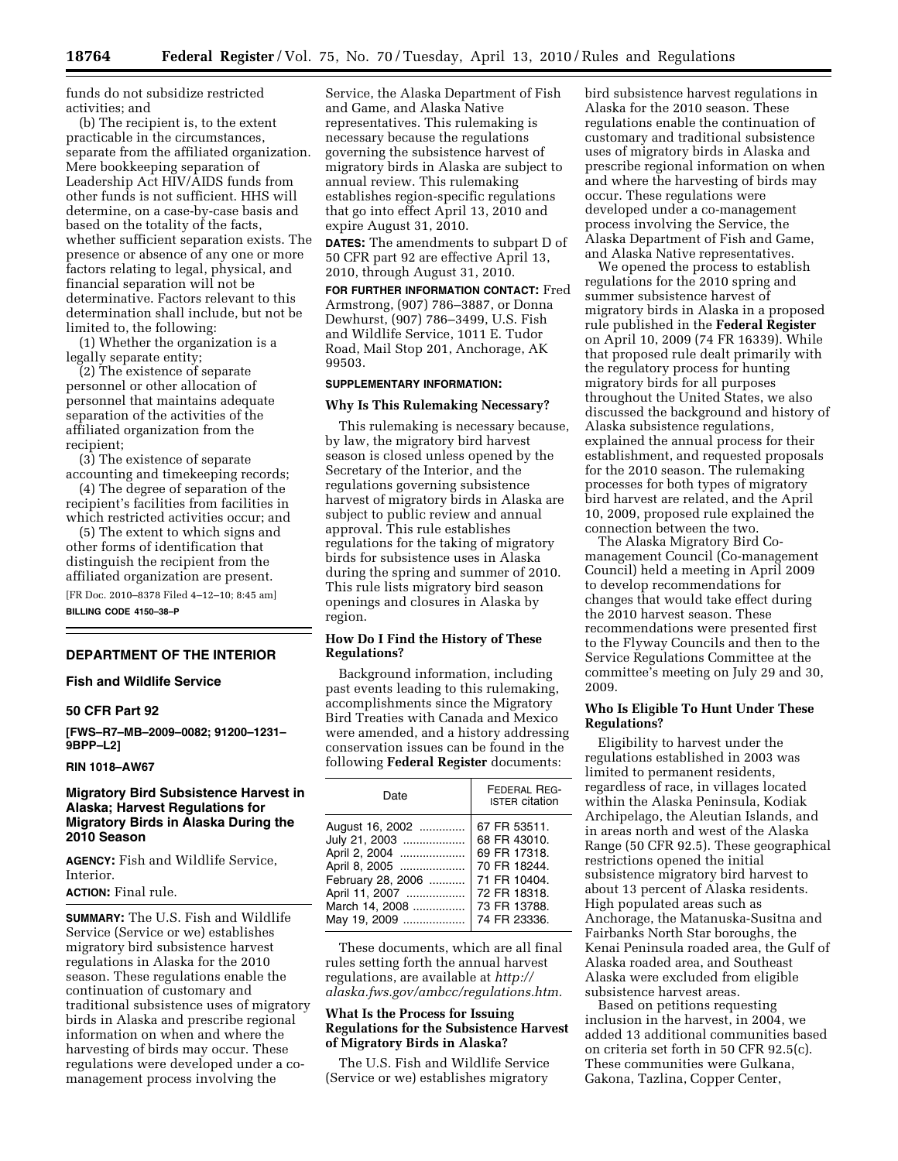funds do not subsidize restricted activities; and

(b) The recipient is, to the extent practicable in the circumstances, separate from the affiliated organization. Mere bookkeeping separation of Leadership Act HIV/AIDS funds from other funds is not sufficient. HHS will determine, on a case-by-case basis and based on the totality of the facts, whether sufficient separation exists. The presence or absence of any one or more factors relating to legal, physical, and financial separation will not be determinative. Factors relevant to this determination shall include, but not be limited to, the following:

(1) Whether the organization is a legally separate entity;

(2) The existence of separate personnel or other allocation of personnel that maintains adequate separation of the activities of the affiliated organization from the recipient;

(3) The existence of separate accounting and timekeeping records;

(4) The degree of separation of the recipient's facilities from facilities in which restricted activities occur; and

(5) The extent to which signs and other forms of identification that distinguish the recipient from the affiliated organization are present. [FR Doc. 2010–8378 Filed 4–12–10; 8:45 am]

**BILLING CODE 4150–38–P** 

#### **DEPARTMENT OF THE INTERIOR**

#### **Fish and Wildlife Service**

#### **50 CFR Part 92**

**[FWS–R7–MB–2009–0082; 91200–1231– 9BPP–L2]** 

### **RIN 1018–AW67**

## **Migratory Bird Subsistence Harvest in Alaska; Harvest Regulations for Migratory Birds in Alaska During the 2010 Season**

**AGENCY:** Fish and Wildlife Service, Interior.

# **ACTION:** Final rule.

**SUMMARY:** The U.S. Fish and Wildlife Service (Service or we) establishes migratory bird subsistence harvest regulations in Alaska for the 2010 season. These regulations enable the continuation of customary and traditional subsistence uses of migratory birds in Alaska and prescribe regional information on when and where the harvesting of birds may occur. These regulations were developed under a comanagement process involving the

Service, the Alaska Department of Fish and Game, and Alaska Native representatives. This rulemaking is necessary because the regulations governing the subsistence harvest of migratory birds in Alaska are subject to annual review. This rulemaking establishes region-specific regulations that go into effect April 13, 2010 and expire August 31, 2010.

**DATES:** The amendments to subpart D of 50 CFR part 92 are effective April 13, 2010, through August 31, 2010.

**FOR FURTHER INFORMATION CONTACT:** Fred Armstrong, (907) 786–3887, or Donna Dewhurst, (907) 786–3499, U.S. Fish and Wildlife Service, 1011 E. Tudor Road, Mail Stop 201, Anchorage, AK 99503.

#### **SUPPLEMENTARY INFORMATION:**

#### **Why Is This Rulemaking Necessary?**

This rulemaking is necessary because, by law, the migratory bird harvest season is closed unless opened by the Secretary of the Interior, and the regulations governing subsistence harvest of migratory birds in Alaska are subject to public review and annual approval. This rule establishes regulations for the taking of migratory birds for subsistence uses in Alaska during the spring and summer of 2010. This rule lists migratory bird season openings and closures in Alaska by region.

## **How Do I Find the History of These Regulations?**

Background information, including past events leading to this rulemaking, accomplishments since the Migratory Bird Treaties with Canada and Mexico were amended, and a history addressing conservation issues can be found in the following **Federal Register** documents:

| Date              | FEDERAL REG-<br><b>ISTER citation</b> |
|-------------------|---------------------------------------|
| August 16, 2002   | 67 FR 53511.                          |
| July 21, 2003     | 68 FR 43010.                          |
| April 2, 2004     | 69 FR 17318.                          |
| April 8, 2005     | 70 FR 18244.                          |
| February 28, 2006 | 71 FR 10404.                          |
| April 11, 2007    | 72 FR 18318.                          |
| March 14, 2008    | 73 FR 13788.                          |
| May 19, 2009      | 74 FR 23336.                          |

These documents, which are all final rules setting forth the annual harvest regulations, are available at *http:// [alaska.fws.gov/ambcc/regulations.htm.](http://alaska.fws.gov/ambcc/regulations.htm)* 

## **What Is the Process for Issuing Regulations for the Subsistence Harvest of Migratory Birds in Alaska?**

The U.S. Fish and Wildlife Service (Service or we) establishes migratory bird subsistence harvest regulations in Alaska for the 2010 season. These regulations enable the continuation of customary and traditional subsistence uses of migratory birds in Alaska and prescribe regional information on when and where the harvesting of birds may occur. These regulations were developed under a co-management process involving the Service, the Alaska Department of Fish and Game, and Alaska Native representatives.

We opened the process to establish regulations for the 2010 spring and summer subsistence harvest of migratory birds in Alaska in a proposed rule published in the **Federal Register**  on April 10, 2009 (74 FR 16339). While that proposed rule dealt primarily with the regulatory process for hunting migratory birds for all purposes throughout the United States, we also discussed the background and history of Alaska subsistence regulations, explained the annual process for their establishment, and requested proposals for the 2010 season. The rulemaking processes for both types of migratory bird harvest are related, and the April 10, 2009, proposed rule explained the connection between the two.

The Alaska Migratory Bird Comanagement Council (Co-management Council) held a meeting in April 2009 to develop recommendations for changes that would take effect during the 2010 harvest season. These recommendations were presented first to the Flyway Councils and then to the Service Regulations Committee at the committee's meeting on July 29 and 30, 2009.

## **Who Is Eligible To Hunt Under These Regulations?**

Eligibility to harvest under the regulations established in 2003 was limited to permanent residents, regardless of race, in villages located within the Alaska Peninsula, Kodiak Archipelago, the Aleutian Islands, and in areas north and west of the Alaska Range (50 CFR 92.5). These geographical restrictions opened the initial subsistence migratory bird harvest to about 13 percent of Alaska residents. High populated areas such as Anchorage, the Matanuska-Susitna and Fairbanks North Star boroughs, the Kenai Peninsula roaded area, the Gulf of Alaska roaded area, and Southeast Alaska were excluded from eligible subsistence harvest areas.

Based on petitions requesting inclusion in the harvest, in 2004, we added 13 additional communities based on criteria set forth in 50 CFR 92.5(c). These communities were Gulkana, Gakona, Tazlina, Copper Center,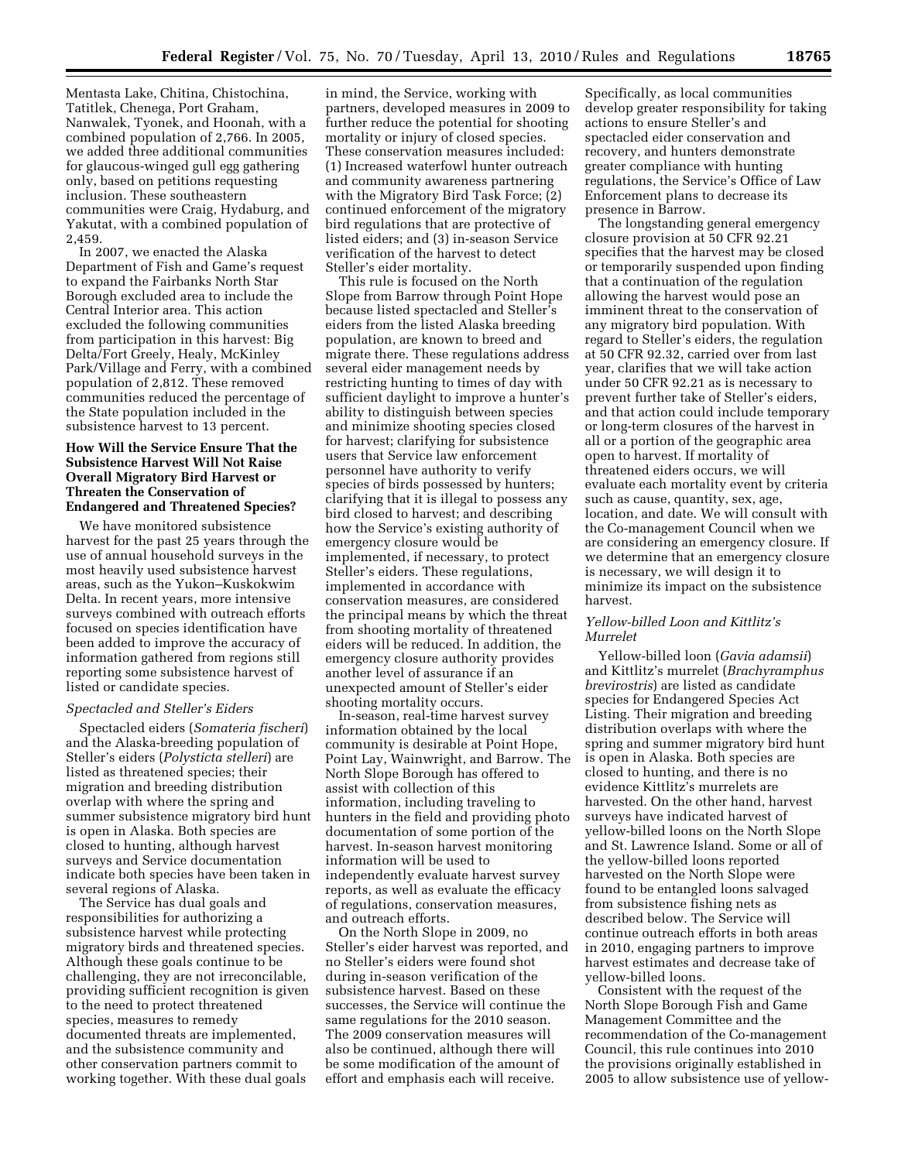Mentasta Lake, Chitina, Chistochina, Tatitlek, Chenega, Port Graham, Nanwalek, Tyonek, and Hoonah, with a combined population of 2,766. In 2005, we added three additional communities for glaucous-winged gull egg gathering only, based on petitions requesting inclusion. These southeastern communities were Craig, Hydaburg, and Yakutat, with a combined population of 2,459.

In 2007, we enacted the Alaska Department of Fish and Game's request to expand the Fairbanks North Star Borough excluded area to include the Central Interior area. This action excluded the following communities from participation in this harvest: Big Delta/Fort Greely, Healy, McKinley Park/Village and Ferry, with a combined population of 2,812. These removed communities reduced the percentage of the State population included in the subsistence harvest to 13 percent.

### **How Will the Service Ensure That the Subsistence Harvest Will Not Raise Overall Migratory Bird Harvest or Threaten the Conservation of Endangered and Threatened Species?**

We have monitored subsistence harvest for the past 25 years through the use of annual household surveys in the most heavily used subsistence harvest areas, such as the Yukon–Kuskokwim Delta. In recent years, more intensive surveys combined with outreach efforts focused on species identification have been added to improve the accuracy of information gathered from regions still reporting some subsistence harvest of listed or candidate species.

# *Spectacled and Steller's Eiders*

Spectacled eiders (*Somateria fischeri*) and the Alaska-breeding population of Steller's eiders (*Polysticta stelleri*) are listed as threatened species; their migration and breeding distribution overlap with where the spring and summer subsistence migratory bird hunt is open in Alaska. Both species are closed to hunting, although harvest surveys and Service documentation indicate both species have been taken in several regions of Alaska.

The Service has dual goals and responsibilities for authorizing a subsistence harvest while protecting migratory birds and threatened species. Although these goals continue to be challenging, they are not irreconcilable, providing sufficient recognition is given to the need to protect threatened species, measures to remedy documented threats are implemented, and the subsistence community and other conservation partners commit to working together. With these dual goals

in mind, the Service, working with partners, developed measures in 2009 to further reduce the potential for shooting mortality or injury of closed species. These conservation measures included: (1) Increased waterfowl hunter outreach and community awareness partnering with the Migratory Bird Task Force; (2) continued enforcement of the migratory bird regulations that are protective of listed eiders; and (3) in-season Service verification of the harvest to detect Steller's eider mortality.

This rule is focused on the North Slope from Barrow through Point Hope because listed spectacled and Steller's eiders from the listed Alaska breeding population, are known to breed and migrate there. These regulations address several eider management needs by restricting hunting to times of day with sufficient daylight to improve a hunter's ability to distinguish between species and minimize shooting species closed for harvest; clarifying for subsistence users that Service law enforcement personnel have authority to verify species of birds possessed by hunters; clarifying that it is illegal to possess any bird closed to harvest; and describing how the Service's existing authority of emergency closure would be implemented, if necessary, to protect Steller's eiders. These regulations, implemented in accordance with conservation measures, are considered the principal means by which the threat from shooting mortality of threatened eiders will be reduced. In addition, the emergency closure authority provides another level of assurance if an unexpected amount of Steller's eider shooting mortality occurs.

In-season, real-time harvest survey information obtained by the local community is desirable at Point Hope, Point Lay, Wainwright, and Barrow. The North Slope Borough has offered to assist with collection of this information, including traveling to hunters in the field and providing photo documentation of some portion of the harvest. In-season harvest monitoring information will be used to independently evaluate harvest survey reports, as well as evaluate the efficacy of regulations, conservation measures, and outreach efforts.

On the North Slope in 2009, no Steller's eider harvest was reported, and no Steller's eiders were found shot during in-season verification of the subsistence harvest. Based on these successes, the Service will continue the same regulations for the 2010 season. The 2009 conservation measures will also be continued, although there will be some modification of the amount of effort and emphasis each will receive.

Specifically, as local communities develop greater responsibility for taking actions to ensure Steller's and spectacled eider conservation and recovery, and hunters demonstrate greater compliance with hunting regulations, the Service's Office of Law Enforcement plans to decrease its presence in Barrow.

The longstanding general emergency closure provision at 50 CFR 92.21 specifies that the harvest may be closed or temporarily suspended upon finding that a continuation of the regulation allowing the harvest would pose an imminent threat to the conservation of any migratory bird population. With regard to Steller's eiders, the regulation at 50 CFR 92.32, carried over from last year, clarifies that we will take action under 50 CFR 92.21 as is necessary to prevent further take of Steller's eiders, and that action could include temporary or long-term closures of the harvest in all or a portion of the geographic area open to harvest. If mortality of threatened eiders occurs, we will evaluate each mortality event by criteria such as cause, quantity, sex, age, location, and date. We will consult with the Co-management Council when we are considering an emergency closure. If we determine that an emergency closure is necessary, we will design it to minimize its impact on the subsistence harvest.

#### *Yellow-billed Loon and Kittlitz's Murrelet*

Yellow-billed loon (*Gavia adamsii*) and Kittlitz's murrelet (*Brachyramphus brevirostris*) are listed as candidate species for Endangered Species Act Listing. Their migration and breeding distribution overlaps with where the spring and summer migratory bird hunt is open in Alaska. Both species are closed to hunting, and there is no evidence Kittlitz's murrelets are harvested. On the other hand, harvest surveys have indicated harvest of yellow-billed loons on the North Slope and St. Lawrence Island. Some or all of the yellow-billed loons reported harvested on the North Slope were found to be entangled loons salvaged from subsistence fishing nets as described below. The Service will continue outreach efforts in both areas in 2010, engaging partners to improve harvest estimates and decrease take of yellow-billed loons.

Consistent with the request of the North Slope Borough Fish and Game Management Committee and the recommendation of the Co-management Council, this rule continues into 2010 the provisions originally established in 2005 to allow subsistence use of yellow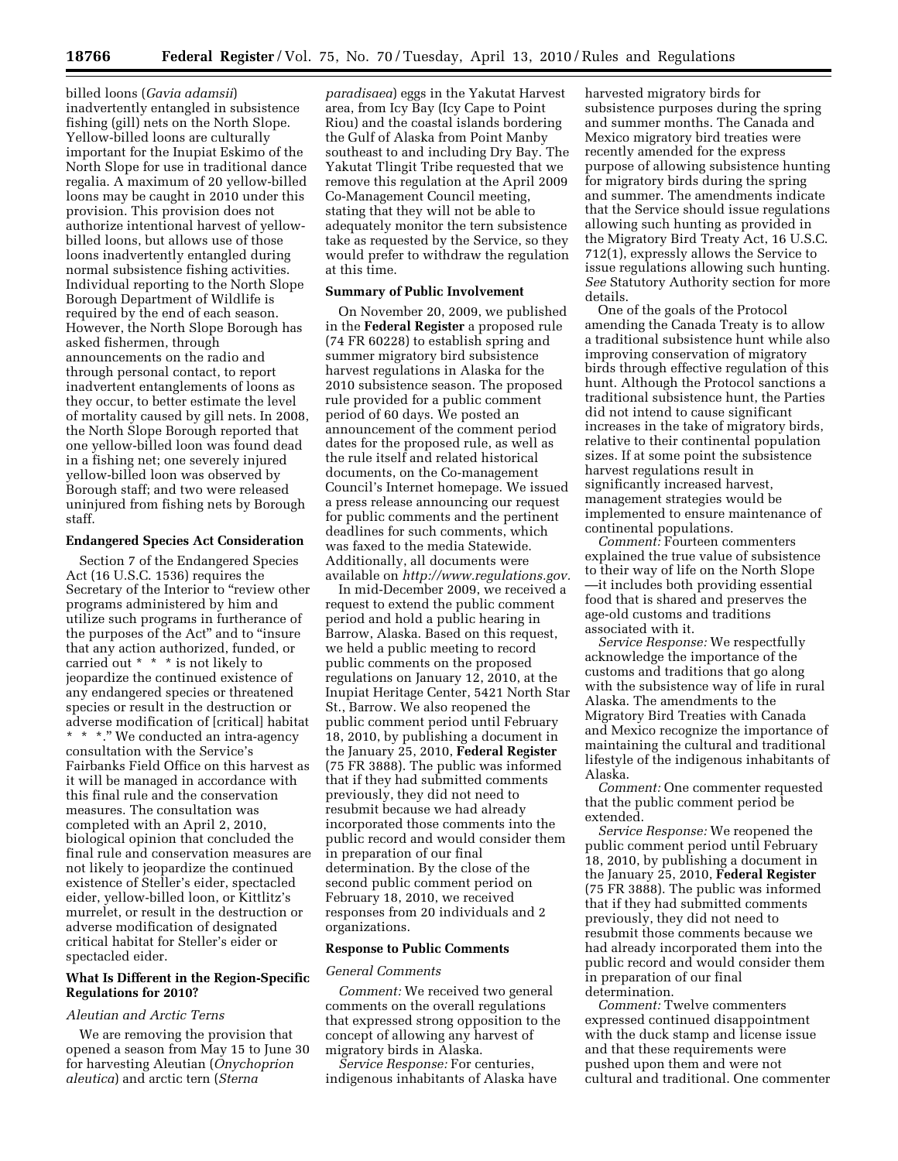billed loons (*Gavia adamsii*) inadvertently entangled in subsistence fishing (gill) nets on the North Slope. Yellow-billed loons are culturally important for the Inupiat Eskimo of the North Slope for use in traditional dance regalia. A maximum of 20 yellow-billed loons may be caught in 2010 under this provision. This provision does not authorize intentional harvest of yellowbilled loons, but allows use of those loons inadvertently entangled during normal subsistence fishing activities. Individual reporting to the North Slope Borough Department of Wildlife is required by the end of each season. However, the North Slope Borough has asked fishermen, through announcements on the radio and through personal contact, to report inadvertent entanglements of loons as they occur, to better estimate the level of mortality caused by gill nets. In 2008, the North Slope Borough reported that one yellow-billed loon was found dead in a fishing net; one severely injured yellow-billed loon was observed by Borough staff; and two were released uninjured from fishing nets by Borough staff.

## **Endangered Species Act Consideration**

Section 7 of the Endangered Species Act (16 U.S.C. 1536) requires the Secretary of the Interior to ''review other programs administered by him and utilize such programs in furtherance of the purposes of the Act'' and to ''insure that any action authorized, funded, or carried out \* \* \* is not likely to jeopardize the continued existence of any endangered species or threatened species or result in the destruction or adverse modification of [critical] habitat \* \* \*.'' We conducted an intra-agency consultation with the Service's Fairbanks Field Office on this harvest as it will be managed in accordance with this final rule and the conservation measures. The consultation was completed with an April 2, 2010, biological opinion that concluded the final rule and conservation measures are not likely to jeopardize the continued existence of Steller's eider, spectacled eider, yellow-billed loon, or Kittlitz's murrelet, or result in the destruction or adverse modification of designated critical habitat for Steller's eider or spectacled eider.

### **What Is Different in the Region-Specific Regulations for 2010?**

#### *Aleutian and Arctic Terns*

We are removing the provision that opened a season from May 15 to June 30 for harvesting Aleutian (*Onychoprion aleutica*) and arctic tern (*Sterna* 

*paradisaea*) eggs in the Yakutat Harvest area, from Icy Bay (Icy Cape to Point Riou) and the coastal islands bordering the Gulf of Alaska from Point Manby southeast to and including Dry Bay. The Yakutat Tlingit Tribe requested that we remove this regulation at the April 2009 Co-Management Council meeting, stating that they will not be able to adequately monitor the tern subsistence take as requested by the Service, so they would prefer to withdraw the regulation at this time.

## **Summary of Public Involvement**

On November 20, 2009, we published in the **Federal Register** a proposed rule (74 FR 60228) to establish spring and summer migratory bird subsistence harvest regulations in Alaska for the 2010 subsistence season. The proposed rule provided for a public comment period of 60 days. We posted an announcement of the comment period dates for the proposed rule, as well as the rule itself and related historical documents, on the Co-management Council's Internet homepage. We issued a press release announcing our request for public comments and the pertinent deadlines for such comments, which was faxed to the media Statewide. Additionally, all documents were available on *[http://www.regulations.gov.](http://www.regulations.gov)* 

In mid-December 2009, we received a request to extend the public comment period and hold a public hearing in Barrow, Alaska. Based on this request, we held a public meeting to record public comments on the proposed regulations on January 12, 2010, at the Inupiat Heritage Center, 5421 North Star St., Barrow. We also reopened the public comment period until February 18, 2010, by publishing a document in the January 25, 2010, **Federal Register**  (75 FR 3888). The public was informed that if they had submitted comments previously, they did not need to resubmit because we had already incorporated those comments into the public record and would consider them in preparation of our final determination. By the close of the second public comment period on February 18, 2010, we received responses from 20 individuals and 2 organizations.

#### **Response to Public Comments**

#### *General Comments*

*Comment:* We received two general comments on the overall regulations that expressed strong opposition to the concept of allowing any harvest of migratory birds in Alaska.

*Service Response:* For centuries, indigenous inhabitants of Alaska have harvested migratory birds for subsistence purposes during the spring and summer months. The Canada and Mexico migratory bird treaties were recently amended for the express purpose of allowing subsistence hunting for migratory birds during the spring and summer. The amendments indicate that the Service should issue regulations allowing such hunting as provided in the Migratory Bird Treaty Act, 16 U.S.C. 712(1), expressly allows the Service to issue regulations allowing such hunting. *See* Statutory Authority section for more details.

One of the goals of the Protocol amending the Canada Treaty is to allow a traditional subsistence hunt while also improving conservation of migratory birds through effective regulation of this hunt. Although the Protocol sanctions a traditional subsistence hunt, the Parties did not intend to cause significant increases in the take of migratory birds, relative to their continental population sizes. If at some point the subsistence harvest regulations result in significantly increased harvest, management strategies would be implemented to ensure maintenance of continental populations.

*Comment:* Fourteen commenters explained the true value of subsistence to their way of life on the North Slope —it includes both providing essential food that is shared and preserves the age-old customs and traditions associated with it.

*Service Response:* We respectfully acknowledge the importance of the customs and traditions that go along with the subsistence way of life in rural Alaska. The amendments to the Migratory Bird Treaties with Canada and Mexico recognize the importance of maintaining the cultural and traditional lifestyle of the indigenous inhabitants of Alaska.

*Comment:* One commenter requested that the public comment period be extended.

*Service Response:* We reopened the public comment period until February 18, 2010, by publishing a document in the January 25, 2010, **Federal Register**  (75 FR 3888). The public was informed that if they had submitted comments previously, they did not need to resubmit those comments because we had already incorporated them into the public record and would consider them in preparation of our final determination.

*Comment:* Twelve commenters expressed continued disappointment with the duck stamp and license issue and that these requirements were pushed upon them and were not cultural and traditional. One commenter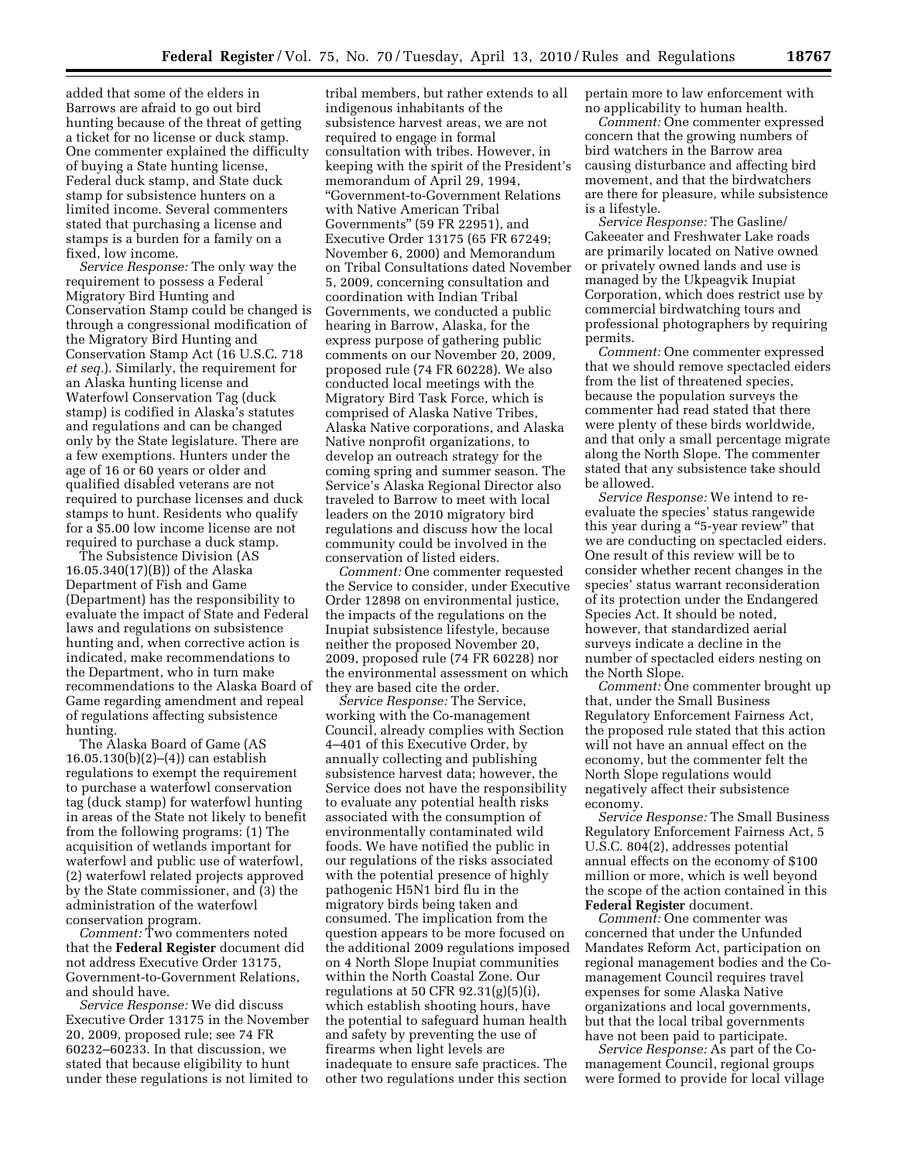added that some of the elders in Barrows are afraid to go out bird hunting because of the threat of getting a ticket for no license or duck stamp. One commenter explained the difficulty of buying a State hunting license, Federal duck stamp, and State duck stamp for subsistence hunters on a limited income. Several commenters stated that purchasing a license and stamps is a burden for a family on a fixed, low income.

*Service Response:* The only way the requirement to possess a Federal Migratory Bird Hunting and Conservation Stamp could be changed is through a congressional modification of the Migratory Bird Hunting and Conservation Stamp Act (16 U.S.C. 718 *et seq.*). Similarly, the requirement for an Alaska hunting license and Waterfowl Conservation Tag (duck stamp) is codified in Alaska's statutes and regulations and can be changed only by the State legislature. There are a few exemptions. Hunters under the age of 16 or 60 years or older and qualified disabled veterans are not required to purchase licenses and duck stamps to hunt. Residents who qualify for a \$5.00 low income license are not required to purchase a duck stamp.

The Subsistence Division (AS 16.05.340(17)(B)) of the Alaska Department of Fish and Game (Department) has the responsibility to evaluate the impact of State and Federal laws and regulations on subsistence hunting and, when corrective action is indicated, make recommendations to the Department, who in turn make recommendations to the Alaska Board of Game regarding amendment and repeal of regulations affecting subsistence hunting.

The Alaska Board of Game (AS 16.05.130(b)(2)–(4)) can establish regulations to exempt the requirement to purchase a waterfowl conservation tag (duck stamp) for waterfowl hunting in areas of the State not likely to benefit from the following programs: (1) The acquisition of wetlands important for waterfowl and public use of waterfowl, (2) waterfowl related projects approved by the State commissioner, and (3) the administration of the waterfowl conservation program.

*Comment:* Two commenters noted that the **Federal Register** document did not address Executive Order 13175, Government-to-Government Relations, and should have.

*Service Response:* We did discuss Executive Order 13175 in the November 20, 2009, proposed rule; see 74 FR 60232–60233. In that discussion, we stated that because eligibility to hunt under these regulations is not limited to

tribal members, but rather extends to all indigenous inhabitants of the subsistence harvest areas, we are not required to engage in formal consultation with tribes. However, in keeping with the spirit of the President's memorandum of April 29, 1994, ''Government-to-Government Relations with Native American Tribal Governments'' (59 FR 22951), and Executive Order 13175 (65 FR 67249; November 6, 2000) and Memorandum on Tribal Consultations dated November 5, 2009, concerning consultation and coordination with Indian Tribal Governments, we conducted a public hearing in Barrow, Alaska, for the express purpose of gathering public comments on our November 20, 2009, proposed rule (74 FR 60228). We also conducted local meetings with the Migratory Bird Task Force, which is comprised of Alaska Native Tribes, Alaska Native corporations, and Alaska Native nonprofit organizations, to develop an outreach strategy for the coming spring and summer season. The Service's Alaska Regional Director also traveled to Barrow to meet with local leaders on the 2010 migratory bird regulations and discuss how the local community could be involved in the conservation of listed eiders.

*Comment:* One commenter requested the Service to consider, under Executive Order 12898 on environmental justice, the impacts of the regulations on the Inupiat subsistence lifestyle, because neither the proposed November 20, 2009, proposed rule (74 FR 60228) nor the environmental assessment on which they are based cite the order.

*Service Response:* The Service, working with the Co-management Council, already complies with Section 4–401 of this Executive Order, by annually collecting and publishing subsistence harvest data; however, the Service does not have the responsibility to evaluate any potential health risks associated with the consumption of environmentally contaminated wild foods. We have notified the public in our regulations of the risks associated with the potential presence of highly pathogenic H5N1 bird flu in the migratory birds being taken and consumed. The implication from the question appears to be more focused on the additional 2009 regulations imposed on 4 North Slope Inupiat communities within the North Coastal Zone. Our regulations at 50 CFR  $92.31(g)(5)(i)$ , which establish shooting hours, have the potential to safeguard human health and safety by preventing the use of firearms when light levels are inadequate to ensure safe practices. The other two regulations under this section

pertain more to law enforcement with no applicability to human health.

*Comment:* One commenter expressed concern that the growing numbers of bird watchers in the Barrow area causing disturbance and affecting bird movement, and that the birdwatchers are there for pleasure, while subsistence is a lifestyle.

*Service Response:* The Gasline/ Cakeeater and Freshwater Lake roads are primarily located on Native owned or privately owned lands and use is managed by the Ukpeagvik Inupiat Corporation, which does restrict use by commercial birdwatching tours and professional photographers by requiring permits.

*Comment:* One commenter expressed that we should remove spectacled eiders from the list of threatened species, because the population surveys the commenter had read stated that there were plenty of these birds worldwide, and that only a small percentage migrate along the North Slope. The commenter stated that any subsistence take should be allowed.

*Service Response:* We intend to reevaluate the species' status rangewide this year during a ''5-year review'' that we are conducting on spectacled eiders. One result of this review will be to consider whether recent changes in the species' status warrant reconsideration of its protection under the Endangered Species Act. It should be noted, however, that standardized aerial surveys indicate a decline in the number of spectacled eiders nesting on the North Slope.

*Comment:* One commenter brought up that, under the Small Business Regulatory Enforcement Fairness Act, the proposed rule stated that this action will not have an annual effect on the economy, but the commenter felt the North Slope regulations would negatively affect their subsistence economy.

*Service Response:* The Small Business Regulatory Enforcement Fairness Act, 5 U.S.C. 804(2), addresses potential annual effects on the economy of \$100 million or more, which is well beyond the scope of the action contained in this **Federal Register** document.

*Comment:* One commenter was concerned that under the Unfunded Mandates Reform Act, participation on regional management bodies and the Comanagement Council requires travel expenses for some Alaska Native organizations and local governments, but that the local tribal governments have not been paid to participate.

*Service Response:* As part of the Comanagement Council, regional groups were formed to provide for local village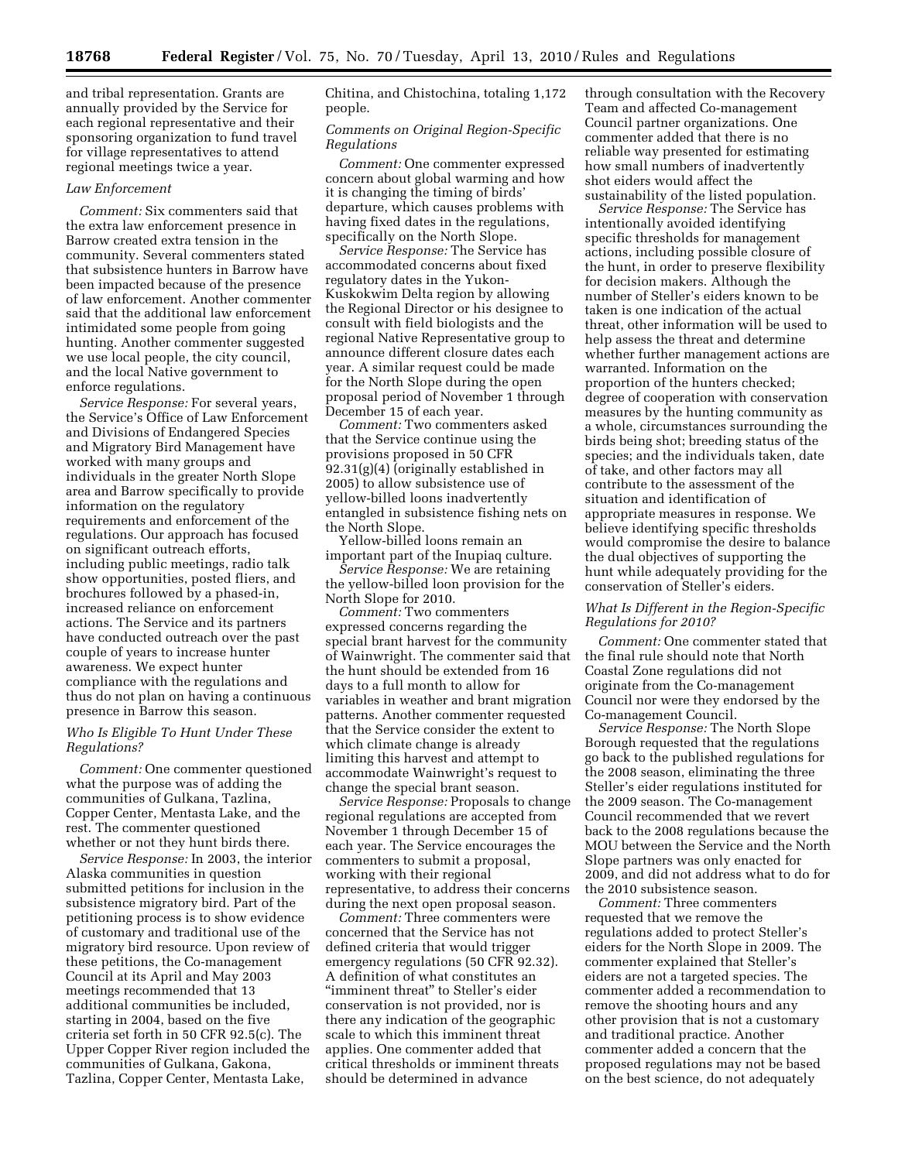and tribal representation. Grants are annually provided by the Service for each regional representative and their sponsoring organization to fund travel for village representatives to attend regional meetings twice a year.

#### *Law Enforcement*

*Comment:* Six commenters said that the extra law enforcement presence in Barrow created extra tension in the community. Several commenters stated that subsistence hunters in Barrow have been impacted because of the presence of law enforcement. Another commenter said that the additional law enforcement intimidated some people from going hunting. Another commenter suggested we use local people, the city council, and the local Native government to enforce regulations.

*Service Response:* For several years, the Service's Office of Law Enforcement and Divisions of Endangered Species and Migratory Bird Management have worked with many groups and individuals in the greater North Slope area and Barrow specifically to provide information on the regulatory requirements and enforcement of the regulations. Our approach has focused on significant outreach efforts, including public meetings, radio talk show opportunities, posted fliers, and brochures followed by a phased-in, increased reliance on enforcement actions. The Service and its partners have conducted outreach over the past couple of years to increase hunter awareness. We expect hunter compliance with the regulations and thus do not plan on having a continuous presence in Barrow this season.

## *Who Is Eligible To Hunt Under These Regulations?*

*Comment:* One commenter questioned what the purpose was of adding the communities of Gulkana, Tazlina, Copper Center, Mentasta Lake, and the rest. The commenter questioned whether or not they hunt birds there.

*Service Response:* In 2003, the interior Alaska communities in question submitted petitions for inclusion in the subsistence migratory bird. Part of the petitioning process is to show evidence of customary and traditional use of the migratory bird resource. Upon review of these petitions, the Co-management Council at its April and May 2003 meetings recommended that 13 additional communities be included, starting in 2004, based on the five criteria set forth in 50 CFR 92.5(c). The Upper Copper River region included the communities of Gulkana, Gakona, Tazlina, Copper Center, Mentasta Lake,

Chitina, and Chistochina, totaling 1,172 people.

#### *Comments on Original Region-Specific Regulations*

*Comment:* One commenter expressed concern about global warming and how it is changing the timing of birds' departure, which causes problems with having fixed dates in the regulations, specifically on the North Slope.

*Service Response:* The Service has accommodated concerns about fixed regulatory dates in the Yukon-Kuskokwim Delta region by allowing the Regional Director or his designee to consult with field biologists and the regional Native Representative group to announce different closure dates each year. A similar request could be made for the North Slope during the open proposal period of November 1 through December 15 of each year.

*Comment:* Two commenters asked that the Service continue using the provisions proposed in 50 CFR 92.31(g)(4) (originally established in 2005) to allow subsistence use of yellow-billed loons inadvertently entangled in subsistence fishing nets on the North Slope.

Yellow-billed loons remain an important part of the Inupiaq culture.

*Service Response:* We are retaining the yellow-billed loon provision for the North Slope for 2010.

*Comment:* Two commenters expressed concerns regarding the special brant harvest for the community of Wainwright. The commenter said that the hunt should be extended from 16 days to a full month to allow for variables in weather and brant migration patterns. Another commenter requested that the Service consider the extent to which climate change is already limiting this harvest and attempt to accommodate Wainwright's request to change the special brant season.

*Service Response:* Proposals to change regional regulations are accepted from November 1 through December 15 of each year. The Service encourages the commenters to submit a proposal, working with their regional representative, to address their concerns during the next open proposal season.

*Comment:* Three commenters were concerned that the Service has not defined criteria that would trigger emergency regulations (50 CFR 92.32). A definition of what constitutes an "imminent threat" to Steller's eider conservation is not provided, nor is there any indication of the geographic scale to which this imminent threat applies. One commenter added that critical thresholds or imminent threats should be determined in advance

through consultation with the Recovery Team and affected Co-management Council partner organizations. One commenter added that there is no reliable way presented for estimating how small numbers of inadvertently shot eiders would affect the sustainability of the listed population.

*Service Response:* The Service has intentionally avoided identifying specific thresholds for management actions, including possible closure of the hunt, in order to preserve flexibility for decision makers. Although the number of Steller's eiders known to be taken is one indication of the actual threat, other information will be used to help assess the threat and determine whether further management actions are warranted. Information on the proportion of the hunters checked; degree of cooperation with conservation measures by the hunting community as a whole, circumstances surrounding the birds being shot; breeding status of the species; and the individuals taken, date of take, and other factors may all contribute to the assessment of the situation and identification of appropriate measures in response. We believe identifying specific thresholds would compromise the desire to balance the dual objectives of supporting the hunt while adequately providing for the conservation of Steller's eiders.

## *What Is Different in the Region-Specific Regulations for 2010?*

*Comment:* One commenter stated that the final rule should note that North Coastal Zone regulations did not originate from the Co-management Council nor were they endorsed by the Co-management Council.

*Service Response:* The North Slope Borough requested that the regulations go back to the published regulations for the 2008 season, eliminating the three Steller's eider regulations instituted for the 2009 season. The Co-management Council recommended that we revert back to the 2008 regulations because the MOU between the Service and the North Slope partners was only enacted for 2009, and did not address what to do for the 2010 subsistence season.

*Comment:* Three commenters requested that we remove the regulations added to protect Steller's eiders for the North Slope in 2009. The commenter explained that Steller's eiders are not a targeted species. The commenter added a recommendation to remove the shooting hours and any other provision that is not a customary and traditional practice. Another commenter added a concern that the proposed regulations may not be based on the best science, do not adequately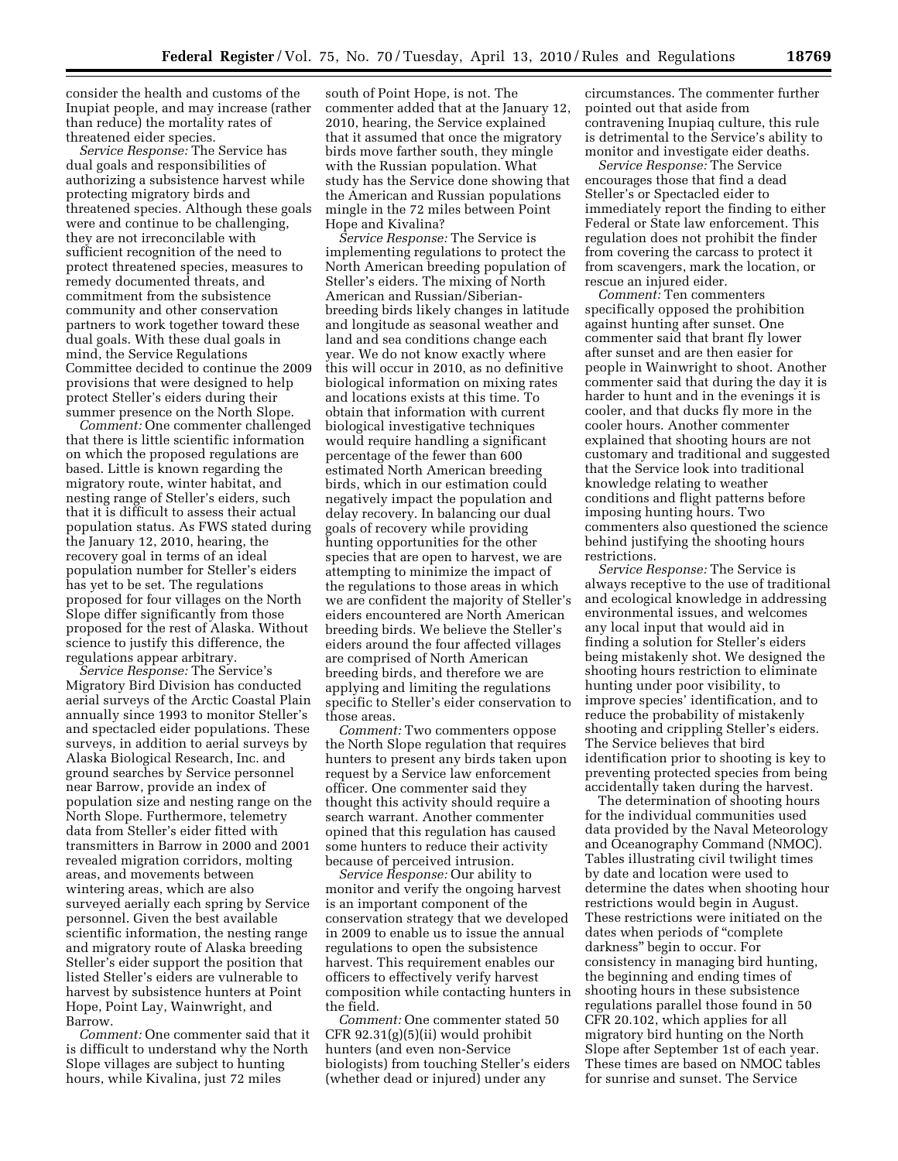consider the health and customs of the Inupiat people, and may increase (rather than reduce) the mortality rates of threatened eider species.

*Service Response:* The Service has dual goals and responsibilities of authorizing a subsistence harvest while protecting migratory birds and threatened species. Although these goals were and continue to be challenging, they are not irreconcilable with sufficient recognition of the need to protect threatened species, measures to remedy documented threats, and commitment from the subsistence community and other conservation partners to work together toward these dual goals. With these dual goals in mind, the Service Regulations Committee decided to continue the 2009 provisions that were designed to help protect Steller's eiders during their summer presence on the North Slope.

*Comment:* One commenter challenged that there is little scientific information on which the proposed regulations are based. Little is known regarding the migratory route, winter habitat, and nesting range of Steller's eiders, such that it is difficult to assess their actual population status. As FWS stated during the January 12, 2010, hearing, the recovery goal in terms of an ideal population number for Steller's eiders has yet to be set. The regulations proposed for four villages on the North Slope differ significantly from those proposed for the rest of Alaska. Without science to justify this difference, the regulations appear arbitrary.

*Service Response:* The Service's Migratory Bird Division has conducted aerial surveys of the Arctic Coastal Plain annually since 1993 to monitor Steller's and spectacled eider populations. These surveys, in addition to aerial surveys by Alaska Biological Research, Inc. and ground searches by Service personnel near Barrow, provide an index of population size and nesting range on the North Slope. Furthermore, telemetry data from Steller's eider fitted with transmitters in Barrow in 2000 and 2001 revealed migration corridors, molting areas, and movements between wintering areas, which are also surveyed aerially each spring by Service personnel. Given the best available scientific information, the nesting range and migratory route of Alaska breeding Steller's eider support the position that listed Steller's eiders are vulnerable to harvest by subsistence hunters at Point Hope, Point Lay, Wainwright, and Barrow.

*Comment:* One commenter said that it is difficult to understand why the North Slope villages are subject to hunting hours, while Kivalina, just 72 miles

south of Point Hope, is not. The commenter added that at the January 12, 2010, hearing, the Service explained that it assumed that once the migratory birds move farther south, they mingle with the Russian population. What study has the Service done showing that the American and Russian populations mingle in the 72 miles between Point Hope and Kivalina?

*Service Response:* The Service is implementing regulations to protect the North American breeding population of Steller's eiders. The mixing of North American and Russian/Siberianbreeding birds likely changes in latitude and longitude as seasonal weather and land and sea conditions change each year. We do not know exactly where this will occur in 2010, as no definitive biological information on mixing rates and locations exists at this time. To obtain that information with current biological investigative techniques would require handling a significant percentage of the fewer than 600 estimated North American breeding birds, which in our estimation could negatively impact the population and delay recovery. In balancing our dual goals of recovery while providing hunting opportunities for the other species that are open to harvest, we are attempting to minimize the impact of the regulations to those areas in which we are confident the majority of Steller's eiders encountered are North American breeding birds. We believe the Steller's eiders around the four affected villages are comprised of North American breeding birds, and therefore we are applying and limiting the regulations specific to Steller's eider conservation to those areas.

*Comment:* Two commenters oppose the North Slope regulation that requires hunters to present any birds taken upon request by a Service law enforcement officer. One commenter said they thought this activity should require a search warrant. Another commenter opined that this regulation has caused some hunters to reduce their activity because of perceived intrusion.

*Service Response:* Our ability to monitor and verify the ongoing harvest is an important component of the conservation strategy that we developed in 2009 to enable us to issue the annual regulations to open the subsistence harvest. This requirement enables our officers to effectively verify harvest composition while contacting hunters in the field.

*Comment:* One commenter stated 50 CFR 92.31(g)(5)(ii) would prohibit hunters (and even non-Service biologists) from touching Steller's eiders (whether dead or injured) under any

circumstances. The commenter further pointed out that aside from contravening Inupiaq culture, this rule is detrimental to the Service's ability to monitor and investigate eider deaths.

*Service Response:* The Service encourages those that find a dead Steller's or Spectacled eider to immediately report the finding to either Federal or State law enforcement. This regulation does not prohibit the finder from covering the carcass to protect it from scavengers, mark the location, or rescue an injured eider.

*Comment:* Ten commenters specifically opposed the prohibition against hunting after sunset. One commenter said that brant fly lower after sunset and are then easier for people in Wainwright to shoot. Another commenter said that during the day it is harder to hunt and in the evenings it is cooler, and that ducks fly more in the cooler hours. Another commenter explained that shooting hours are not customary and traditional and suggested that the Service look into traditional knowledge relating to weather conditions and flight patterns before imposing hunting hours. Two commenters also questioned the science behind justifying the shooting hours restrictions.

*Service Response:* The Service is always receptive to the use of traditional and ecological knowledge in addressing environmental issues, and welcomes any local input that would aid in finding a solution for Steller's eiders being mistakenly shot. We designed the shooting hours restriction to eliminate hunting under poor visibility, to improve species' identification, and to reduce the probability of mistakenly shooting and crippling Steller's eiders. The Service believes that bird identification prior to shooting is key to preventing protected species from being accidentally taken during the harvest.

The determination of shooting hours for the individual communities used data provided by the Naval Meteorology and Oceanography Command (NMOC). Tables illustrating civil twilight times by date and location were used to determine the dates when shooting hour restrictions would begin in August. These restrictions were initiated on the dates when periods of ''complete darkness'' begin to occur. For consistency in managing bird hunting, the beginning and ending times of shooting hours in these subsistence regulations parallel those found in 50 CFR 20.102, which applies for all migratory bird hunting on the North Slope after September 1st of each year. These times are based on NMOC tables for sunrise and sunset. The Service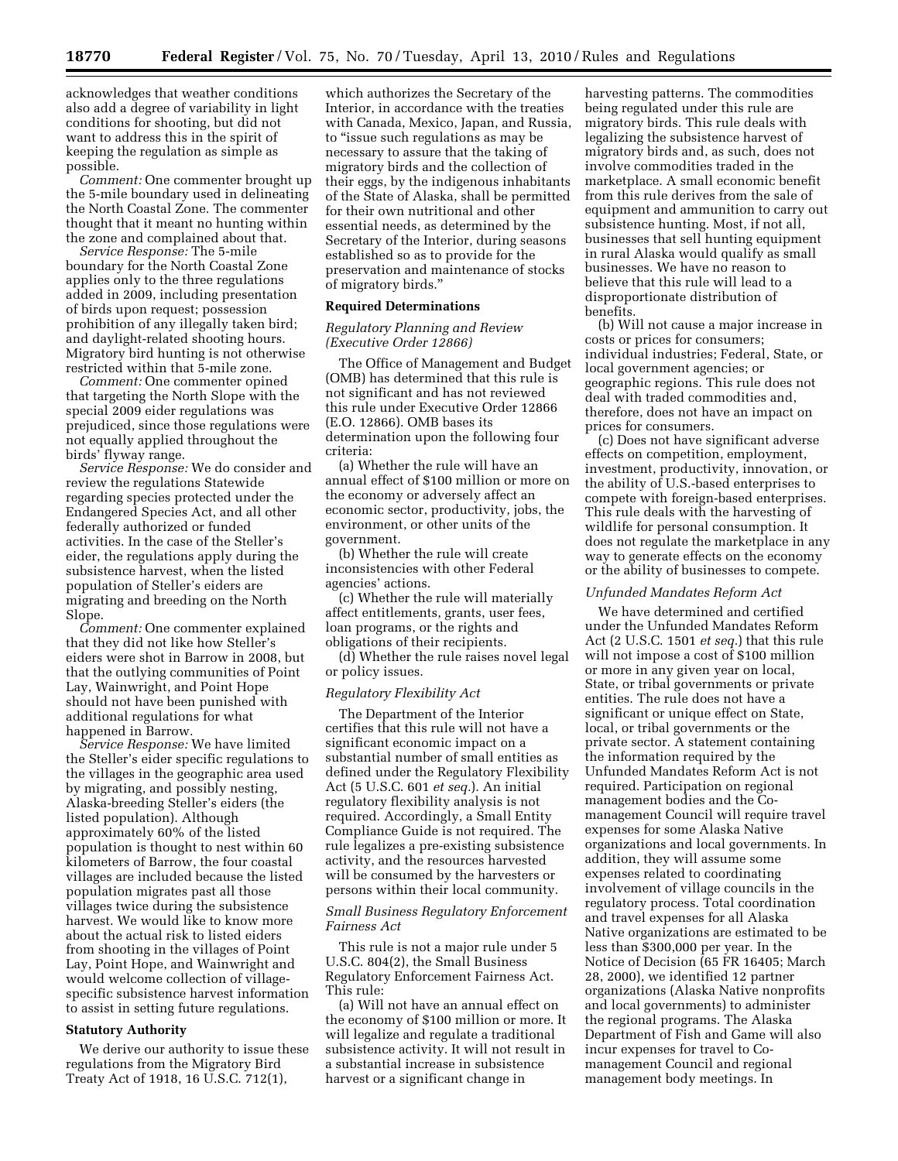acknowledges that weather conditions also add a degree of variability in light conditions for shooting, but did not want to address this in the spirit of keeping the regulation as simple as possible.

*Comment:* One commenter brought up the 5-mile boundary used in delineating the North Coastal Zone. The commenter thought that it meant no hunting within the zone and complained about that.

*Service Response:* The 5-mile boundary for the North Coastal Zone applies only to the three regulations added in 2009, including presentation of birds upon request; possession prohibition of any illegally taken bird; and daylight-related shooting hours. Migratory bird hunting is not otherwise restricted within that 5-mile zone.

*Comment:* One commenter opined that targeting the North Slope with the special 2009 eider regulations was prejudiced, since those regulations were not equally applied throughout the birds' flyway range.

*Service Response:* We do consider and review the regulations Statewide regarding species protected under the Endangered Species Act, and all other federally authorized or funded activities. In the case of the Steller's eider, the regulations apply during the subsistence harvest, when the listed population of Steller's eiders are migrating and breeding on the North Slope.

*Comment:* One commenter explained that they did not like how Steller's eiders were shot in Barrow in 2008, but that the outlying communities of Point Lay, Wainwright, and Point Hope should not have been punished with additional regulations for what happened in Barrow.

*Service Response:* We have limited the Steller's eider specific regulations to the villages in the geographic area used by migrating, and possibly nesting, Alaska-breeding Steller's eiders (the listed population). Although approximately 60% of the listed population is thought to nest within 60 kilometers of Barrow, the four coastal villages are included because the listed population migrates past all those villages twice during the subsistence harvest. We would like to know more about the actual risk to listed eiders from shooting in the villages of Point Lay, Point Hope, and Wainwright and would welcome collection of villagespecific subsistence harvest information to assist in setting future regulations.

## **Statutory Authority**

We derive our authority to issue these regulations from the Migratory Bird Treaty Act of 1918, 16 U.S.C. 712(1),

which authorizes the Secretary of the Interior, in accordance with the treaties with Canada, Mexico, Japan, and Russia, to ''issue such regulations as may be necessary to assure that the taking of migratory birds and the collection of their eggs, by the indigenous inhabitants of the State of Alaska, shall be permitted for their own nutritional and other essential needs, as determined by the Secretary of the Interior, during seasons established so as to provide for the preservation and maintenance of stocks of migratory birds.''

## **Required Determinations**

### *Regulatory Planning and Review (Executive Order 12866)*

The Office of Management and Budget (OMB) has determined that this rule is not significant and has not reviewed this rule under Executive Order 12866 (E.O. 12866). OMB bases its determination upon the following four criteria:

(a) Whether the rule will have an annual effect of \$100 million or more on the economy or adversely affect an economic sector, productivity, jobs, the environment, or other units of the government.

(b) Whether the rule will create inconsistencies with other Federal agencies' actions.

(c) Whether the rule will materially affect entitlements, grants, user fees, loan programs, or the rights and obligations of their recipients.

(d) Whether the rule raises novel legal or policy issues.

#### *Regulatory Flexibility Act*

The Department of the Interior certifies that this rule will not have a significant economic impact on a substantial number of small entities as defined under the Regulatory Flexibility Act (5 U.S.C. 601 *et seq.*). An initial regulatory flexibility analysis is not required. Accordingly, a Small Entity Compliance Guide is not required. The rule legalizes a pre-existing subsistence activity, and the resources harvested will be consumed by the harvesters or persons within their local community.

#### *Small Business Regulatory Enforcement Fairness Act*

This rule is not a major rule under 5 U.S.C. 804(2), the Small Business Regulatory Enforcement Fairness Act. This rule:

(a) Will not have an annual effect on the economy of \$100 million or more. It will legalize and regulate a traditional subsistence activity. It will not result in a substantial increase in subsistence harvest or a significant change in

harvesting patterns. The commodities being regulated under this rule are migratory birds. This rule deals with legalizing the subsistence harvest of migratory birds and, as such, does not involve commodities traded in the marketplace. A small economic benefit from this rule derives from the sale of equipment and ammunition to carry out subsistence hunting. Most, if not all, businesses that sell hunting equipment in rural Alaska would qualify as small businesses. We have no reason to believe that this rule will lead to a disproportionate distribution of benefits.

(b) Will not cause a major increase in costs or prices for consumers; individual industries; Federal, State, or local government agencies; or geographic regions. This rule does not deal with traded commodities and, therefore, does not have an impact on prices for consumers.

(c) Does not have significant adverse effects on competition, employment, investment, productivity, innovation, or the ability of U.S.-based enterprises to compete with foreign-based enterprises. This rule deals with the harvesting of wildlife for personal consumption. It does not regulate the marketplace in any way to generate effects on the economy or the ability of businesses to compete.

#### *Unfunded Mandates Reform Act*

We have determined and certified under the Unfunded Mandates Reform Act (2 U.S.C. 1501 *et seq.*) that this rule will not impose a cost of \$100 million or more in any given year on local, State, or tribal governments or private entities. The rule does not have a significant or unique effect on State, local, or tribal governments or the private sector. A statement containing the information required by the Unfunded Mandates Reform Act is not required. Participation on regional management bodies and the Comanagement Council will require travel expenses for some Alaska Native organizations and local governments. In addition, they will assume some expenses related to coordinating involvement of village councils in the regulatory process. Total coordination and travel expenses for all Alaska Native organizations are estimated to be less than \$300,000 per year. In the Notice of Decision (65 FR 16405; March 28, 2000), we identified 12 partner organizations (Alaska Native nonprofits and local governments) to administer the regional programs. The Alaska Department of Fish and Game will also incur expenses for travel to Comanagement Council and regional management body meetings. In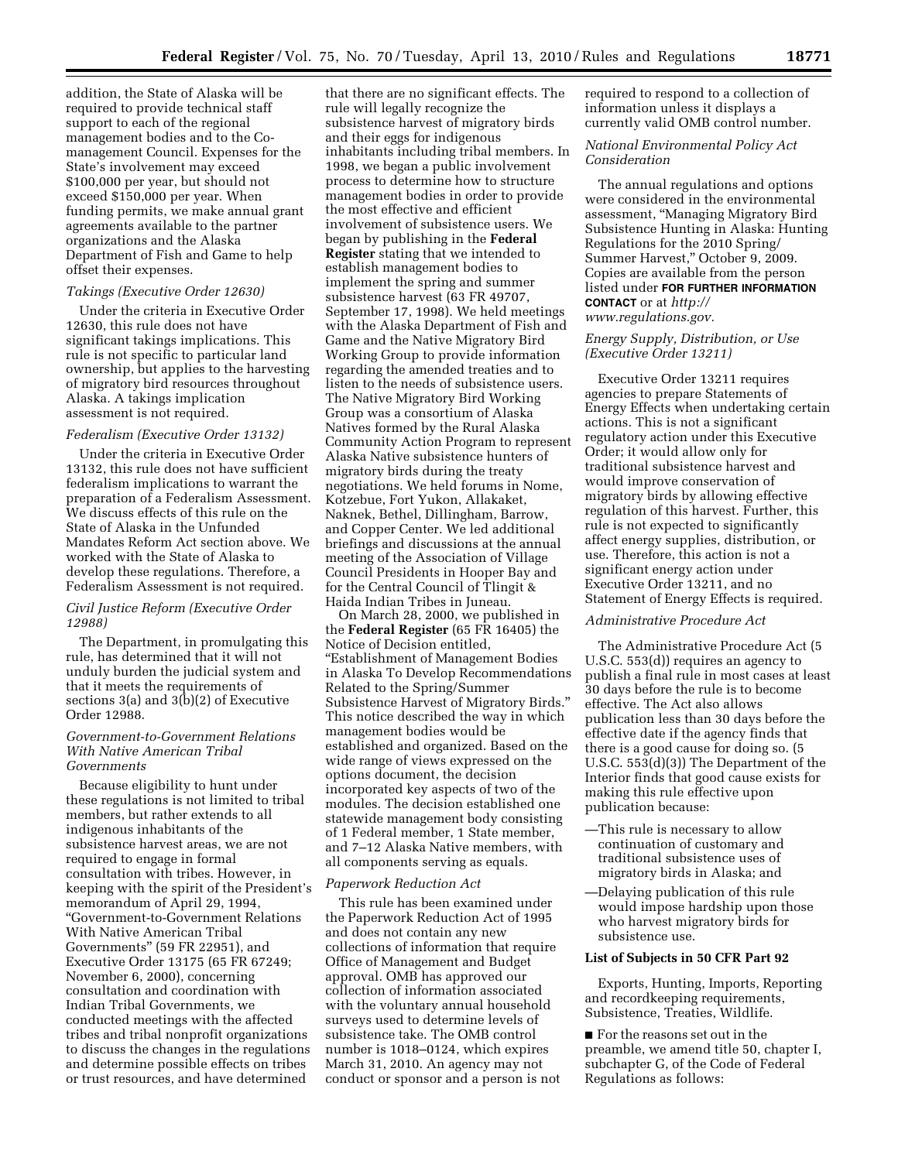addition, the State of Alaska will be required to provide technical staff support to each of the regional management bodies and to the Comanagement Council. Expenses for the State's involvement may exceed \$100,000 per year, but should not exceed \$150,000 per year. When funding permits, we make annual grant agreements available to the partner organizations and the Alaska Department of Fish and Game to help offset their expenses.

# *Takings (Executive Order 12630)*

Under the criteria in Executive Order 12630, this rule does not have significant takings implications. This rule is not specific to particular land ownership, but applies to the harvesting of migratory bird resources throughout Alaska. A takings implication assessment is not required.

#### *Federalism (Executive Order 13132)*

Under the criteria in Executive Order 13132, this rule does not have sufficient federalism implications to warrant the preparation of a Federalism Assessment. We discuss effects of this rule on the State of Alaska in the Unfunded Mandates Reform Act section above. We worked with the State of Alaska to develop these regulations. Therefore, a Federalism Assessment is not required.

# *Civil Justice Reform (Executive Order 12988)*

The Department, in promulgating this rule, has determined that it will not unduly burden the judicial system and that it meets the requirements of sections  $3(a)$  and  $3(b)(2)$  of Executive Order 12988.

## *Government-to-Government Relations With Native American Tribal Governments*

Because eligibility to hunt under these regulations is not limited to tribal members, but rather extends to all indigenous inhabitants of the subsistence harvest areas, we are not required to engage in formal consultation with tribes. However, in keeping with the spirit of the President's memorandum of April 29, 1994, ''Government-to-Government Relations With Native American Tribal Governments'' (59 FR 22951), and Executive Order 13175 (65 FR 67249; November 6, 2000), concerning consultation and coordination with Indian Tribal Governments, we conducted meetings with the affected tribes and tribal nonprofit organizations to discuss the changes in the regulations and determine possible effects on tribes or trust resources, and have determined

that there are no significant effects. The rule will legally recognize the subsistence harvest of migratory birds and their eggs for indigenous inhabitants including tribal members. In 1998, we began a public involvement process to determine how to structure management bodies in order to provide the most effective and efficient involvement of subsistence users. We began by publishing in the **Federal Register** stating that we intended to establish management bodies to implement the spring and summer subsistence harvest (63 FR 49707, September 17, 1998). We held meetings with the Alaska Department of Fish and Game and the Native Migratory Bird Working Group to provide information regarding the amended treaties and to listen to the needs of subsistence users. The Native Migratory Bird Working Group was a consortium of Alaska Natives formed by the Rural Alaska Community Action Program to represent Alaska Native subsistence hunters of migratory birds during the treaty negotiations. We held forums in Nome, Kotzebue, Fort Yukon, Allakaket, Naknek, Bethel, Dillingham, Barrow, and Copper Center. We led additional briefings and discussions at the annual meeting of the Association of Village Council Presidents in Hooper Bay and for the Central Council of Tlingit & Haida Indian Tribes in Juneau.

On March 28, 2000, we published in the **Federal Register** (65 FR 16405) the Notice of Decision entitled, ''Establishment of Management Bodies in Alaska To Develop Recommendations Related to the Spring/Summer Subsistence Harvest of Migratory Birds.'' This notice described the way in which management bodies would be established and organized. Based on the wide range of views expressed on the options document, the decision incorporated key aspects of two of the modules. The decision established one statewide management body consisting of 1 Federal member, 1 State member, and 7–12 Alaska Native members, with all components serving as equals.

#### *Paperwork Reduction Act*

This rule has been examined under the Paperwork Reduction Act of 1995 and does not contain any new collections of information that require Office of Management and Budget approval. OMB has approved our collection of information associated with the voluntary annual household surveys used to determine levels of subsistence take. The OMB control number is 1018–0124, which expires March 31, 2010. An agency may not conduct or sponsor and a person is not required to respond to a collection of information unless it displays a currently valid OMB control number.

#### *National Environmental Policy Act Consideration*

The annual regulations and options were considered in the environmental assessment, ''Managing Migratory Bird Subsistence Hunting in Alaska: Hunting Regulations for the 2010 Spring/ Summer Harvest,'' October 9, 2009. Copies are available from the person listed under **FOR FURTHER INFORMATION CONTACT** or at *http:// [www.regulations.gov.](http://www.regulations.gov)* 

## *Energy Supply, Distribution, or Use (Executive Order 13211)*

Executive Order 13211 requires agencies to prepare Statements of Energy Effects when undertaking certain actions. This is not a significant regulatory action under this Executive Order; it would allow only for traditional subsistence harvest and would improve conservation of migratory birds by allowing effective regulation of this harvest. Further, this rule is not expected to significantly affect energy supplies, distribution, or use. Therefore, this action is not a significant energy action under Executive Order 13211, and no Statement of Energy Effects is required.

### *Administrative Procedure Act*

The Administrative Procedure Act (5 U.S.C. 553(d)) requires an agency to publish a final rule in most cases at least 30 days before the rule is to become effective. The Act also allows publication less than 30 days before the effective date if the agency finds that there is a good cause for doing so. (5 U.S.C. 553(d)(3)) The Department of the Interior finds that good cause exists for making this rule effective upon publication because:

- —This rule is necessary to allow continuation of customary and traditional subsistence uses of migratory birds in Alaska; and
- —Delaying publication of this rule would impose hardship upon those who harvest migratory birds for subsistence use.

#### **List of Subjects in 50 CFR Part 92**

Exports, Hunting, Imports, Reporting and recordkeeping requirements, Subsistence, Treaties, Wildlife.

■ For the reasons set out in the preamble, we amend title 50, chapter I, subchapter G, of the Code of Federal Regulations as follows: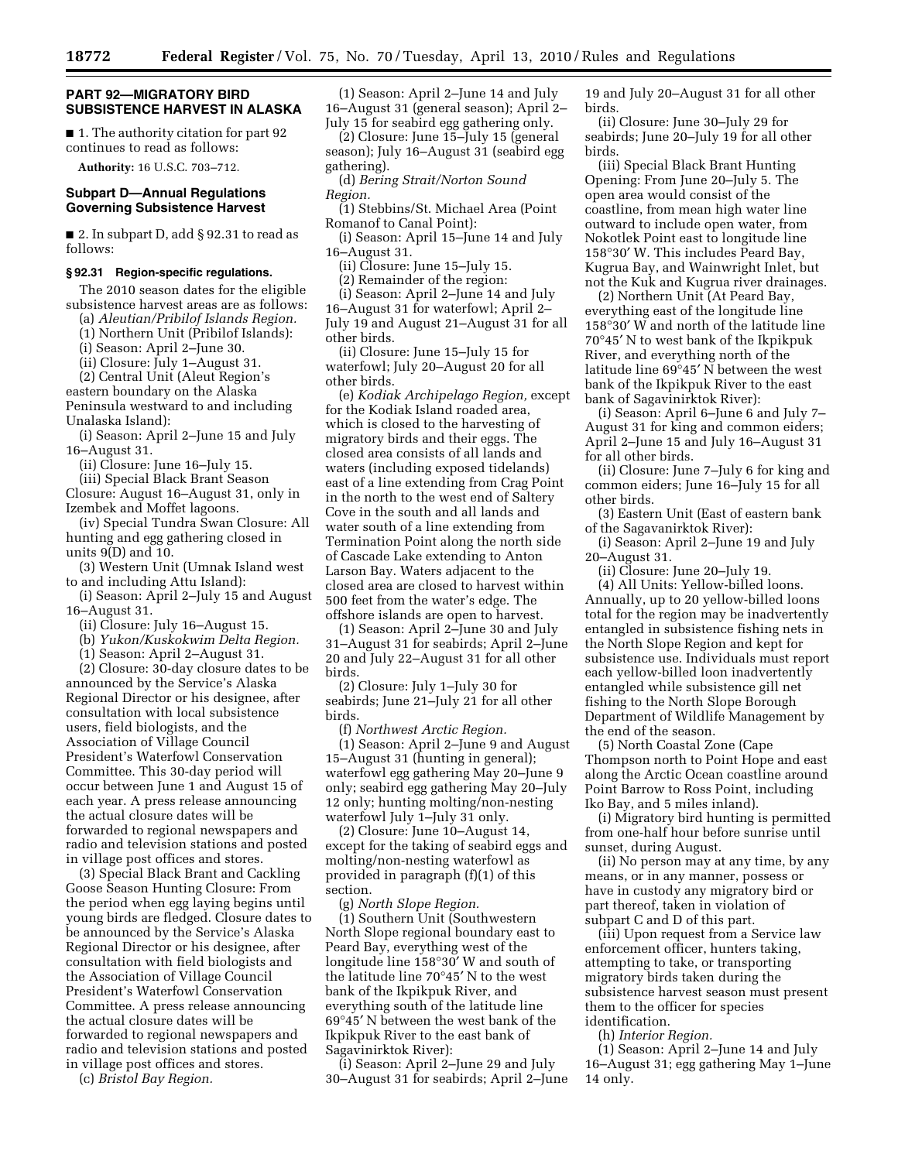## **PART 92—MIGRATORY BIRD SUBSISTENCE HARVEST IN ALASKA**

■ 1. The authority citation for part 92 continues to read as follows:

**Authority:** 16 U.S.C. 703–712.

## **Subpart D—Annual Regulations Governing Subsistence Harvest**

■ 2. In subpart D, add § 92.31 to read as follows:

#### **§ 92.31 Region-specific regulations.**

The 2010 season dates for the eligible subsistence harvest areas are as follows:

(a) *Aleutian/Pribilof Islands Region.* 

(1) Northern Unit (Pribilof Islands):

(i) Season: April 2–June 30.

(ii) Closure: July 1–August 31.

(2) Central Unit (Aleut Region's eastern boundary on the Alaska

Peninsula westward to and including Unalaska Island):

(i) Season: April 2–June 15 and July 16–August 31.

(ii) Closure: June 16–July 15.

(iii) Special Black Brant Season Closure: August 16–August 31, only in Izembek and Moffet lagoons.

(iv) Special Tundra Swan Closure: All hunting and egg gathering closed in units 9(D) and 10.

(3) Western Unit (Umnak Island west to and including Attu Island):

(i) Season: April 2–July 15 and August 16–August 31.

(ii) Closure: July 16–August 15.

(b) *Yukon/Kuskokwim Delta Region.* 

(1) Season: April 2–August 31.

(2) Closure: 30-day closure dates to be

announced by the Service's Alaska Regional Director or his designee, after consultation with local subsistence users, field biologists, and the Association of Village Council President's Waterfowl Conservation Committee. This 30-day period will occur between June 1 and August 15 of each year. A press release announcing the actual closure dates will be forwarded to regional newspapers and radio and television stations and posted in village post offices and stores.

(3) Special Black Brant and Cackling Goose Season Hunting Closure: From the period when egg laying begins until young birds are fledged. Closure dates to be announced by the Service's Alaska Regional Director or his designee, after consultation with field biologists and the Association of Village Council President's Waterfowl Conservation Committee. A press release announcing the actual closure dates will be forwarded to regional newspapers and radio and television stations and posted in village post offices and stores.

(c) *Bristol Bay Region.* 

(1) Season: April 2–June 14 and July 16–August 31 (general season); April 2– July 15 for seabird egg gathering only.

(2) Closure: June 15–July 15 (general season); July 16–August 31 (seabird egg gathering).

(d) *Bering Strait/Norton Sound Region.* 

(1) Stebbins/St. Michael Area (Point Romanof to Canal Point):

(i) Season: April 15–June 14 and July 16–August 31.

(ii) Closure: June 15–July 15.

(2) Remainder of the region:

(i) Season: April 2–June 14 and July 16–August 31 for waterfowl; April 2– July 19 and August 21–August 31 for all other birds.

(ii) Closure: June 15–July 15 for waterfowl; July 20–August 20 for all other birds.

(e) *Kodiak Archipelago Region,* except for the Kodiak Island roaded area, which is closed to the harvesting of migratory birds and their eggs. The closed area consists of all lands and waters (including exposed tidelands) east of a line extending from Crag Point in the north to the west end of Saltery Cove in the south and all lands and water south of a line extending from Termination Point along the north side of Cascade Lake extending to Anton Larson Bay. Waters adjacent to the closed area are closed to harvest within 500 feet from the water's edge. The offshore islands are open to harvest.

(1) Season: April 2–June 30 and July 31–August 31 for seabirds; April 2–June 20 and July 22–August 31 for all other birds.

(2) Closure: July 1–July 30 for seabirds; June 21–July 21 for all other birds.

(f) *Northwest Arctic Region.* 

(1) Season: April 2–June 9 and August 15–August 31 (hunting in general); waterfowl egg gathering May 20–June 9 only; seabird egg gathering May 20–July 12 only; hunting molting/non-nesting waterfowl July 1–July 31 only.

(2) Closure: June 10–August 14, except for the taking of seabird eggs and molting/non-nesting waterfowl as provided in paragraph (f)(1) of this section.

(g) *North Slope Region.* 

(1) Southern Unit (Southwestern North Slope regional boundary east to Peard Bay, everything west of the longitude line 158°30′ W and south of the latitude line 70°45′ N to the west bank of the Ikpikpuk River, and everything south of the latitude line 69°45′ N between the west bank of the Ikpikpuk River to the east bank of Sagavinirktok River):

(i) Season: April 2–June 29 and July 30–August 31 for seabirds; April 2–June 19 and July 20–August 31 for all other birds.

(ii) Closure: June 30–July 29 for seabirds; June 20–July 19 for all other birds.

(iii) Special Black Brant Hunting Opening: From June 20–July 5. The open area would consist of the coastline, from mean high water line outward to include open water, from Nokotlek Point east to longitude line 158°30′ W. This includes Peard Bay, Kugrua Bay, and Wainwright Inlet, but not the Kuk and Kugrua river drainages.

(2) Northern Unit (At Peard Bay, everything east of the longitude line 158°30′ W and north of the latitude line 70°45′ N to west bank of the Ikpikpuk River, and everything north of the latitude line 69°45′ N between the west bank of the Ikpikpuk River to the east bank of Sagavinirktok River):

(i) Season: April 6–June 6 and July 7– August 31 for king and common eiders; April 2–June 15 and July 16–August 31 for all other birds.

(ii) Closure: June 7–July 6 for king and common eiders; June 16–July 15 for all other birds.

(3) Eastern Unit (East of eastern bank of the Sagavanirktok River):

(i) Season: April 2–June 19 and July 20–August 31.

(ii) Closure: June 20–July 19.

(4) All Units: Yellow-billed loons. Annually, up to 20 yellow-billed loons total for the region may be inadvertently entangled in subsistence fishing nets in the North Slope Region and kept for subsistence use. Individuals must report each yellow-billed loon inadvertently entangled while subsistence gill net fishing to the North Slope Borough Department of Wildlife Management by the end of the season.

(5) North Coastal Zone (Cape Thompson north to Point Hope and east along the Arctic Ocean coastline around Point Barrow to Ross Point, including Iko Bay, and 5 miles inland).

(i) Migratory bird hunting is permitted from one-half hour before sunrise until sunset, during August.

(ii) No person may at any time, by any means, or in any manner, possess or have in custody any migratory bird or part thereof, taken in violation of subpart C and D of this part.

(iii) Upon request from a Service law enforcement officer, hunters taking, attempting to take, or transporting migratory birds taken during the subsistence harvest season must present them to the officer for species identification.

(h) *Interior Region.* 

(1) Season: April 2–June 14 and July 16–August 31; egg gathering May 1–June 14 only.